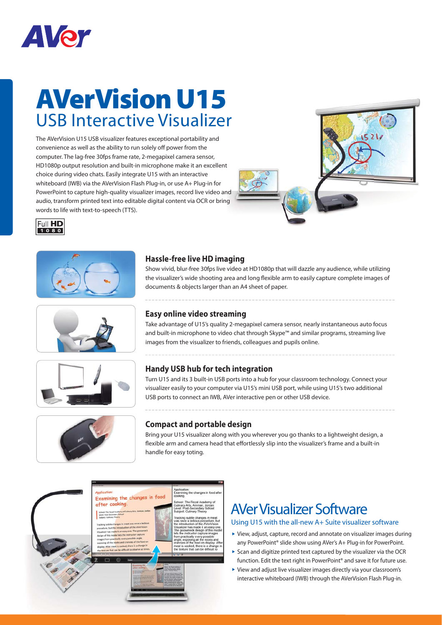

## **AVerVision U15** USB Interactive Visualizer

The AVerVision U15 USB visualizer features exceptional portability and convenience as well as the ability to run solely off power from the computer. The lag-free 30fps frame rate, 2-megapixel camera sensor, HD1080p output resolution and built-in microphone make it an excellent choice during video chats. Easily integrate U15 with an interactive whiteboard (IWB) via the AVerVision Flash Plug-in, or use A+ Plug-in for PowerPoint to capture high-quality visualizer images, record live video and audio, transform printed text into editable digital content via OCR or bring words to life with text-to-speech (TTS).













#### **Hassle-free live HD imaging**

Show vivid, blur-free 30fps live video at HD1080p that will dazzle any audience, while utilizing the visualizer's wide shooting area and long flexible arm to easily capture complete images of documents & objects larger than an A4 sheet of paper.

#### **Easy online video streaming**

Take advantage of U15's quality 2-megapixel camera sensor, nearly instantaneous auto focus and built-in microphone to video chat through Skype™ and similar programs, streaming live images from the visualizer to friends, colleagues and pupils online.

### **Handy USB hub for tech integration**

Turn U15 and its 3 built-in USB ports into a hub for your classroom technology. Connect your visualizer easily to your computer via U15's mini USB port, while using U15's two additional USB ports to connect an IWB, AVer interactive pen or other USB device.

#### **Compact and portable design**

Bring your U15 visualizer along with you wherever you go thanks to a lightweight design, a flexible arm and camera head that effortlessly slip into the visualizer's frame and a built-in handle for easy toting.



### AVer Visualizer Software

#### Using U15 with the all-new A+ Suite visualizer software

- View, adjust, capture, record and annotate on visualizer images during any PowerPoint® slide show using AVer's A+ Plug-in for PowerPoint.
- $\triangleright$  Scan and digitize printed text captured by the visualizer via the OCR function. Edit the text right in PowerPoint® and save it for future use.
- View and adjust live visualizer images directly via your classroom's interactive whiteboard (IWB) through the AVerVision Flash Plug-in.